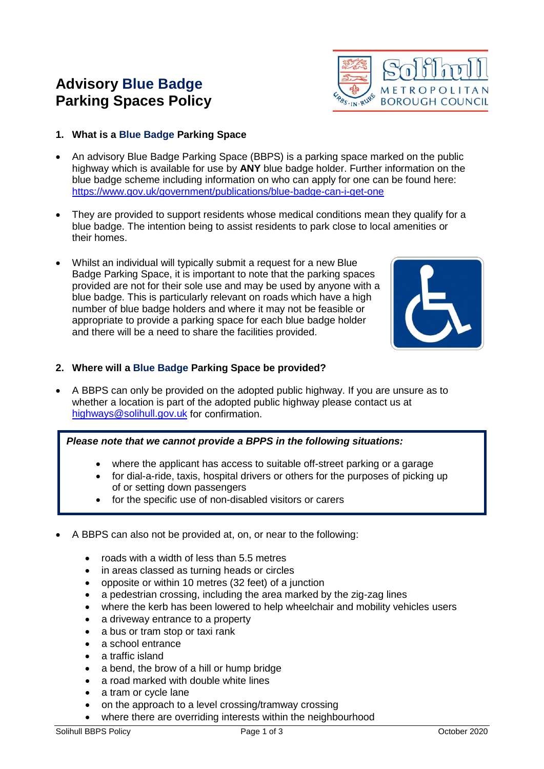# **Advisory Blue Badge Parking Spaces Policy**



- **1. What is a Blue Badge Parking Space**
- An advisory Blue Badge Parking Space (BBPS) is a parking space marked on the public highway which is available for use by **ANY** blue badge holder. Further information on the blue badge scheme including information on who can apply for one can be found here: <https://www.gov.uk/government/publications/blue-badge-can-i-get-one>
- They are provided to support residents whose medical conditions mean they qualify for a blue badge. The intention being to assist residents to park close to local amenities or their homes.
- Whilst an individual will typically submit a request for a new Blue Badge Parking Space, it is important to note that the parking spaces provided are not for their sole use and may be used by anyone with a blue badge. This is particularly relevant on roads which have a high number of blue badge holders and where it may not be feasible or appropriate to provide a parking space for each blue badge holder and there will be a need to share the facilities provided.



## **2. Where will a Blue Badge Parking Space be provided?**

• A BBPS can only be provided on the adopted public highway. If you are unsure as to whether a location is part of the adopted public highway please contact us at [highways@solihull.gov.uk](mailto:highways@solihull.gov.uk) for confirmation.

### *Please note that we cannot provide a BPPS in the following situations:*

- where the applicant has access to suitable off-street parking or a garage
- for dial-a-ride, taxis, hospital drivers or others for the purposes of picking up of or setting down passengers
- for the specific use of non-disabled visitors or carers
- A BBPS can also not be provided at, on, or near to the following:
	- roads with a width of less than 5.5 metres
	- in areas classed as turning heads or circles
	- opposite or within 10 metres (32 feet) of a junction
	- a pedestrian crossing, including the area marked by the zig-zag lines
	- where the kerb has been lowered to help wheelchair and mobility vehicles users
	- a driveway entrance to a property
	- a bus or tram stop or taxi rank
	- a school entrance
	- a traffic island
	- a bend, the brow of a hill or hump bridge
	- a road marked with double white lines
	- a tram or cycle lane
	- on the approach to a level crossing/tramway crossing
	- where there are overriding interests within the neighbourhood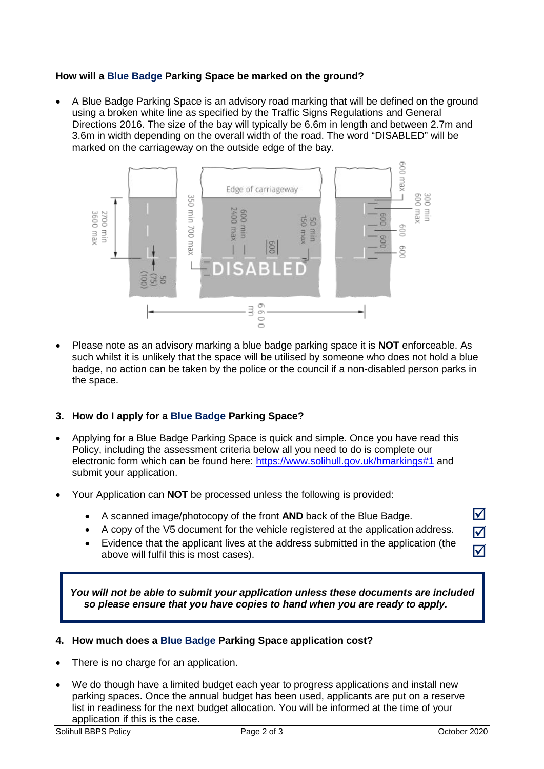## **How will a Blue Badge Parking Space be marked on the ground?**

• A Blue Badge Parking Space is an advisory road marking that will be defined on the ground using a broken white line as specified by the Traffic Signs Regulations and General Directions 2016. The size of the bay will typically be 6.6m in length and between 2.7m and 3.6m in width depending on the overall width of the road. The word "DISABLED" will be marked on the carriageway on the outside edge of the bay.



• Please note as an advisory marking a blue badge parking space it is **NOT** enforceable. As such whilst it is unlikely that the space will be utilised by someone who does not hold a blue badge, no action can be taken by the police or the council if a non-disabled person parks in the space.

### **3. How do I apply for a Blue Badge Parking Space?**

- Applying for a Blue Badge Parking Space is quick and simple. Once you have read this Policy, including the assessment criteria below all you need to do is complete our electronic form which can be found here:<https://www.solihull.gov.uk/hmarkings#1> and submit your application.
- Your Application can **NOT** be processed unless the following is provided:
	- A scanned image/photocopy of the front **AND** back of the Blue Badge.
	- A copy of the V5 document for the vehicle registered at the application address.
	- Evidence that the applicant lives at the address submitted in the application (the above will fulfil this is most cases).

*You will not be able to submit your application unless these documents are included so please ensure that you have copies to hand when you are ready to apply.*

### **4. How much does a Blue Badge Parking Space application cost?**

- There is no charge for an application.
- We do though have a limited budget each year to progress applications and install new parking spaces. Once the annual budget has been used, applicants are put on a reserve list in readiness for the next budget allocation. You will be informed at the time of your application if this is the case.

☑ ☑  $\overline{\mathsf{M}}$